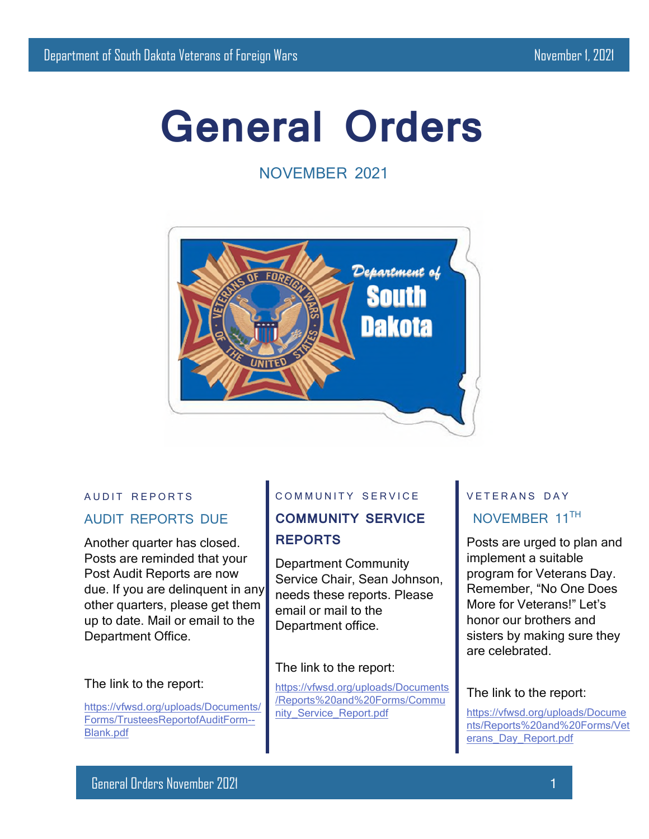# **General Orders**

NOVEMBER 2021



#### AUDIT REPORTS

### AUDIT REPORTS DUE

Another quarter has closed. Posts are reminded that your Post Audit Reports are now due. If you are delinquent in any other quarters, please get them up to date. Mail or email to the Department Office.

#### The link to the report:

[https://vfwsd.org/uploads/Documents/](https://vfwsd.org/uploads/Documents/Forms/TrusteesReportofAuditForm--Blank.pdf) [Forms/TrusteesReportofAuditForm--](https://vfwsd.org/uploads/Documents/Forms/TrusteesReportofAuditForm--Blank.pdf) [Blank.pdf](https://vfwsd.org/uploads/Documents/Forms/TrusteesReportofAuditForm--Blank.pdf)

#### COMMUNITY SERVICE

# **COMMUNITY SERVICE REPORTS**

Department Community Service Chair, Sean Johnson, needs these reports. Please email or mail to the Department office.

#### The link to the report:

[https://vfwsd.org/uploads/Documents](https://vfwsd.org/uploads/Documents/ReportsandForms/Community_Service_Report.pdf) [/Reports%20and%20Forms/Commu](https://vfwsd.org/uploads/Documents/ReportsandForms/Community_Service_Report.pdf) [nity\\_Service\\_Report.pdf](https://vfwsd.org/uploads/Documents/ReportsandForms/Community_Service_Report.pdf)

# V F T F R A N S D A Y NOVEMBER 11TH

Posts are urged to plan and implement a suitable program for Veterans Day. Remember, "No One Does More for Veterans!" Let's honor our brothers and sisters by making sure they are celebrated.

#### The link to the report:

[https://vfwsd.org/uploads/Docume](https://vfwsd.org/uploads/Documents/ReportsandForms/Veterans_Day_Report.pdf) [nts/Reports%20and%20Forms/Vet](https://vfwsd.org/uploads/Documents/ReportsandForms/Veterans_Day_Report.pdf) [erans\\_Day\\_Report.pdf](https://vfwsd.org/uploads/Documents/ReportsandForms/Veterans_Day_Report.pdf)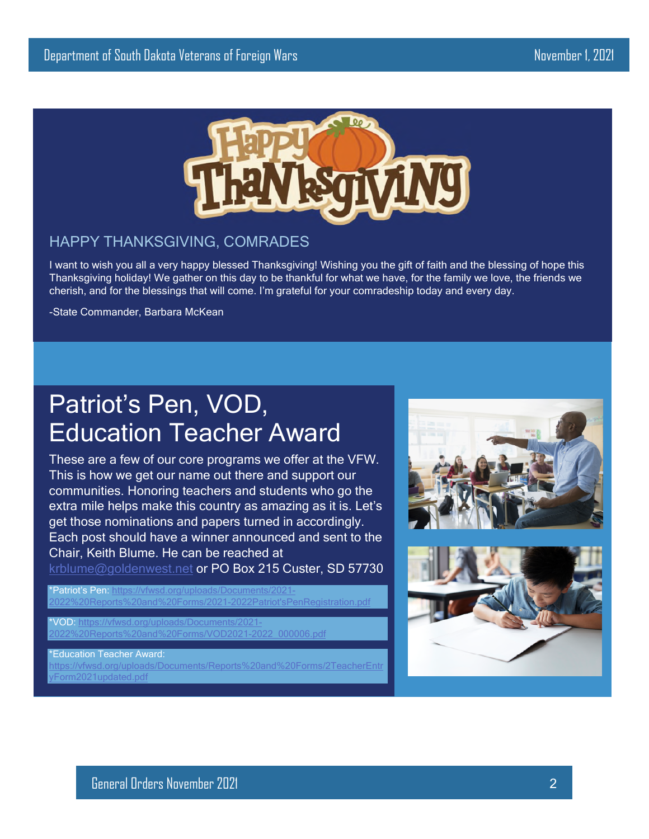

## HAPPY THANKSGIVING, COMRADES

I want to wish you all a very happy blessed Thanksgiving! Wishing you the gift of faith and the blessing of hope this Thanksgiving holiday! We gather on this day to be thankful for what we have, for the family we love, the friends we cherish, and for the blessings that will come. I'm grateful for your comradeship today and every day.

-State Commander, Barbara McKean

# Patriot's Pen, VOD, Education Teacher Award

These are a few of our core programs we offer at the VFW. This is how we get our name out there and support our communities. Honoring teachers and students who go the extra mile helps make this country as amazing as it is. Let's get those nominations and papers turned in accordingly. Each post should have a winner announced and sent to the Chair, Keith Blume. He can be reached at

[krblume@goldenwest.net](mailto:krblume@goldenwest.net) or PO Box 215 Custer, SD 57730

\*Patriot's Pen: [https://vfwsd.org/uploads/Documents/2021-](https://vfwsd.org/uploads/Documents/2021-2022ReportsandForms/2021-2022Patriot) [2022%20Reports%20and%20Forms/2021-2022Patriot'sPenRegistration.pdf](https://vfwsd.org/uploads/Documents/2021-2022ReportsandForms/2021-2022Patriot)

VOD: https://vfwsd.org/uploads/Documents/2021 0Reports%20and%20Forms/VOD2021-2022\_000006.pdf

\*Education Teacher Award:

[https://vfwsd.org/uploads/Documents/Reports%20and%20Forms/2TeacherEntr](https://vfwsd.org/uploads/Documents/ReportsandForms/2TeacherEntryForm2021updated.pdf) [yForm2021updated.pdf](https://vfwsd.org/uploads/Documents/ReportsandForms/2TeacherEntryForm2021updated.pdf)



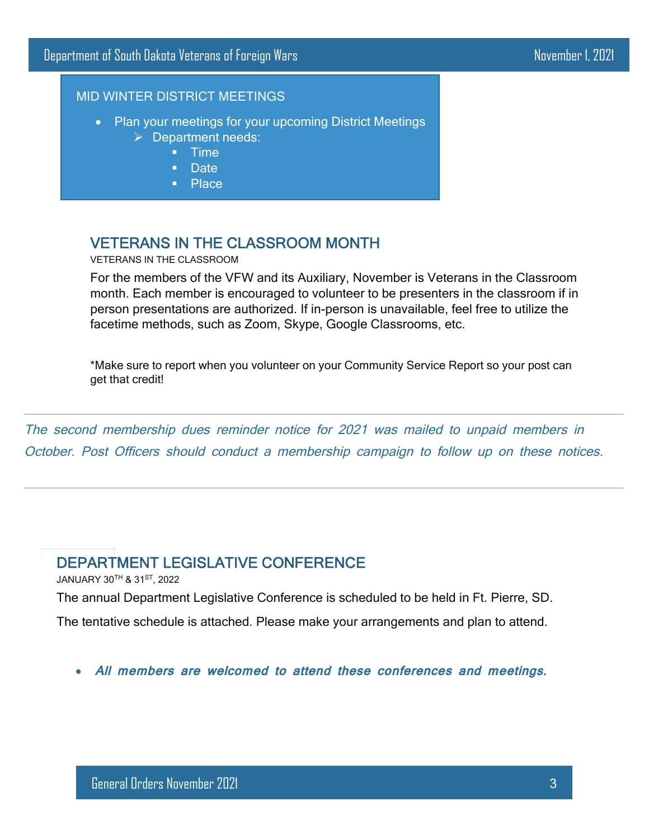### MID WINTER DISTRICT MEETINGS

- Plan your meetings for your upcoming District Meetings  $\triangleright$  Department needs:
	- **Time**
	- **Date**
	- Place

# VETERANS IN THE CLASSROOM MONTH

VETERANS IN THE CLASSROOM

For the members of the VFW and its Auxiliary, November is Veterans in the Classroom month. Each member is encouraged to volunteer to be presenters in the classroom if in person presentations are authorized. If in-person is unavailable, feel free to utilize the facetime methods, such as Zoom, Skype, Google Classrooms, etc.

\*Make sure to report when you volunteer on your Community Service Report so your post can get that credit!

The second membership dues reminder notice for 2021 was mailed to unpaid members in October. Post Officers should conduct a membership campaign to follow up on these notices.

# DEPARTMENT LEGISLATIVE CONFERENCE

JANUARY 30TH & 31ST, 2022

The annual Department Legislative Conference is scheduled to be held in Ft. Pierre, SD.

The tentative schedule is attached. Please make your arrangements and plan to attend.

**All members are welcomed to attend these conferences and meetings.**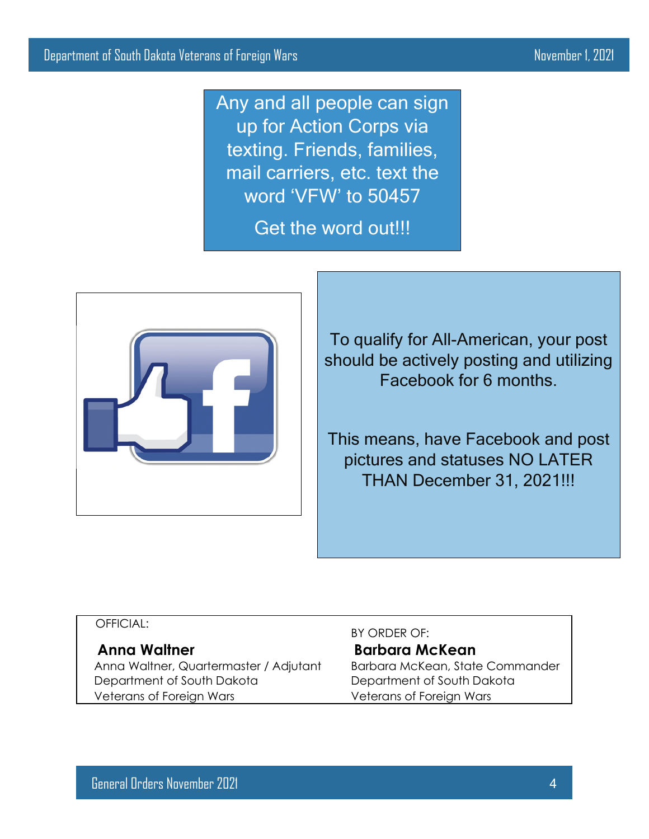Any and all people can sign up for Action Corps via texting. Friends, families, mail carriers, etc. text the word 'VFW' to 50457

Get the word out!!!



To qualify for All-American, your post should be actively posting and utilizing Facebook for 6 months.

This means, have Facebook and post pictures and statuses NO LATER THAN December 31, 2021!!!

### OFFICIAL:

Anna Waltner, Quartermaster / Adjutant Barbara McKean, State Commander Department of South Dakota **Department of South Dakota** Veterans of Foreign Wars Veterans of Foreign Wars

BY ORDER OF: **Anna Waltner Barbara McKean**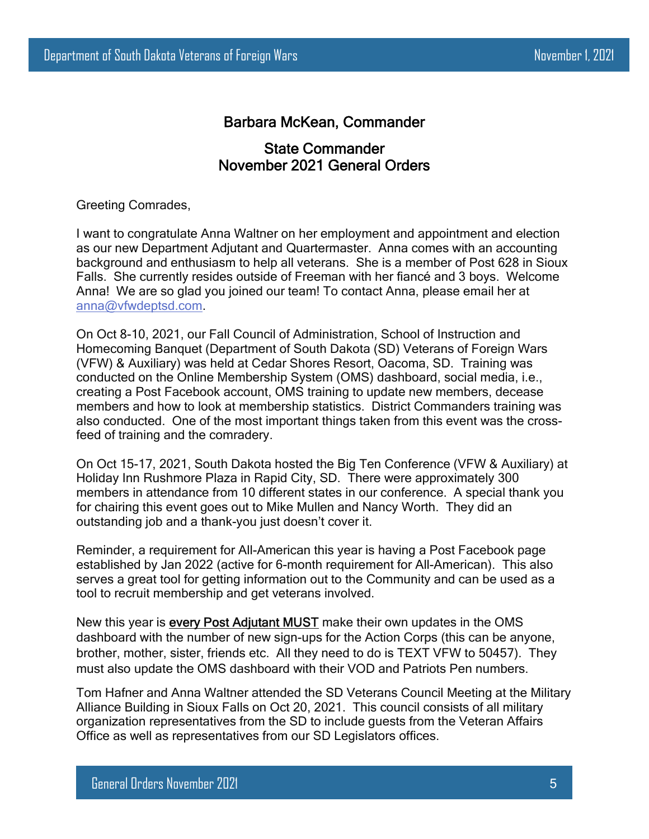# Barbara McKean, Commander

# State Commander November 2021 General Orders

Greeting Comrades,

I want to congratulate Anna Waltner on her employment and appointment and election as our new Department Adjutant and Quartermaster. Anna comes with an accounting background and enthusiasm to help all veterans. She is a member of Post 628 in Sioux Falls. She currently resides outside of Freeman with her fiancé and 3 boys. Welcome Anna! We are so glad you joined our team! To contact Anna, please email her at [anna@vfwdeptsd.com](mailto:anna@vfwdeptsd.com).

On Oct 8-10, 2021, our Fall Council of Administration, School of Instruction and Homecoming Banquet (Department of South Dakota (SD) Veterans of Foreign Wars (VFW) & Auxiliary) was held at Cedar Shores Resort, Oacoma, SD. Training was conducted on the Online Membership System (OMS) dashboard, social media, i.e., creating a Post Facebook account, OMS training to update new members, decease members and how to look at membership statistics. District Commanders training was also conducted. One of the most important things taken from this event was the crossfeed of training and the comradery.

On Oct 15-17, 2021, South Dakota hosted the Big Ten Conference (VFW & Auxiliary) at Holiday Inn Rushmore Plaza in Rapid City, SD. There were approximately 300 members in attendance from 10 different states in our conference. A special thank you for chairing this event goes out to Mike Mullen and Nancy Worth. They did an outstanding job and a thank-you just doesn't cover it.

Reminder, a requirement for All-American this year is having a Post Facebook page established by Jan 2022 (active for 6-month requirement for All-American). This also serves a great tool for getting information out to the Community and can be used as a tool to recruit membership and get veterans involved.

New this year is every Post Adjutant MUST make their own updates in the OMS dashboard with the number of new sign-ups for the Action Corps (this can be anyone, brother, mother, sister, friends etc. All they need to do is TEXT VFW to 50457). They must also update the OMS dashboard with their VOD and Patriots Pen numbers.

Tom Hafner and Anna Waltner attended the SD Veterans Council Meeting at the Military Alliance Building in Sioux Falls on Oct 20, 2021. This council consists of all military organization representatives from the SD to include guests from the Veteran Affairs Office as well as representatives from our SD Legislators offices.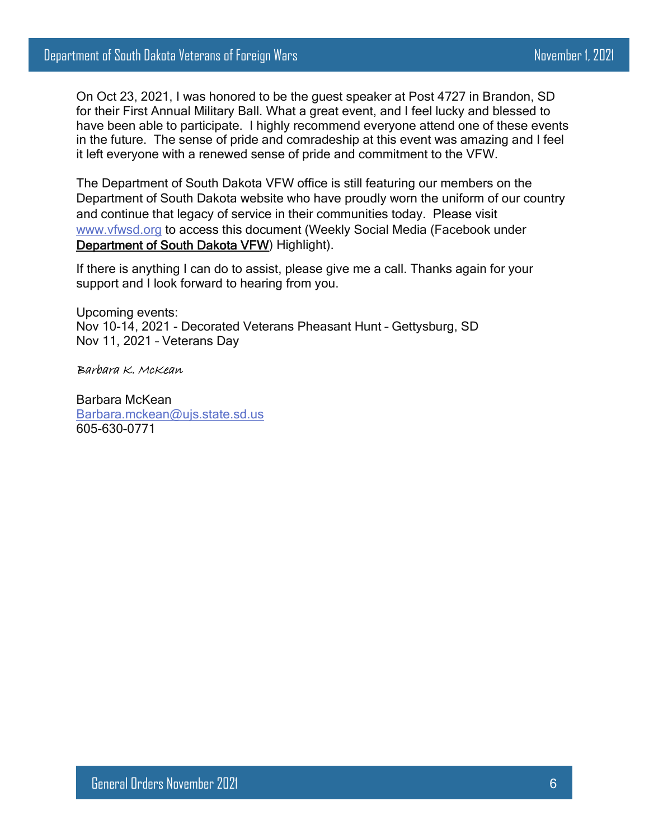On Oct 23, 2021, I was honored to be the guest speaker at Post 4727 in Brandon, SD for their First Annual Military Ball. What a great event, and I feel lucky and blessed to have been able to participate. I highly recommend everyone attend one of these events in the future. The sense of pride and comradeship at this event was amazing and I feel it left everyone with a renewed sense of pride and commitment to the VFW.

The Department of South Dakota VFW office is still featuring our members on the Department of South Dakota website who have proudly worn the uniform of our country and continue that legacy of service in their communities today. Please visit [www.vfwsd.org](http://www.vfwsd.org/) to access this document (Weekly Social Media (Facebook under [Department of South Dakota VFW\)](https://www.facebook.com/DepartmentSDVFW/?__tn__=%2Cd-UC*F) Highlight).

If there is anything I can do to assist, please give me a call. Thanks again for your support and I look forward to hearing from you.

Upcoming events: Nov 10-14, 2021 - Decorated Veterans Pheasant Hunt – Gettysburg, SD Nov 11, 2021 – Veterans Day

Barbara K. McKean

Barbara McKean [Barbara.mckean@ujs.state.sd.us](mailto:Barbara.mckean@ujs.state.sd.us) 605-630-0771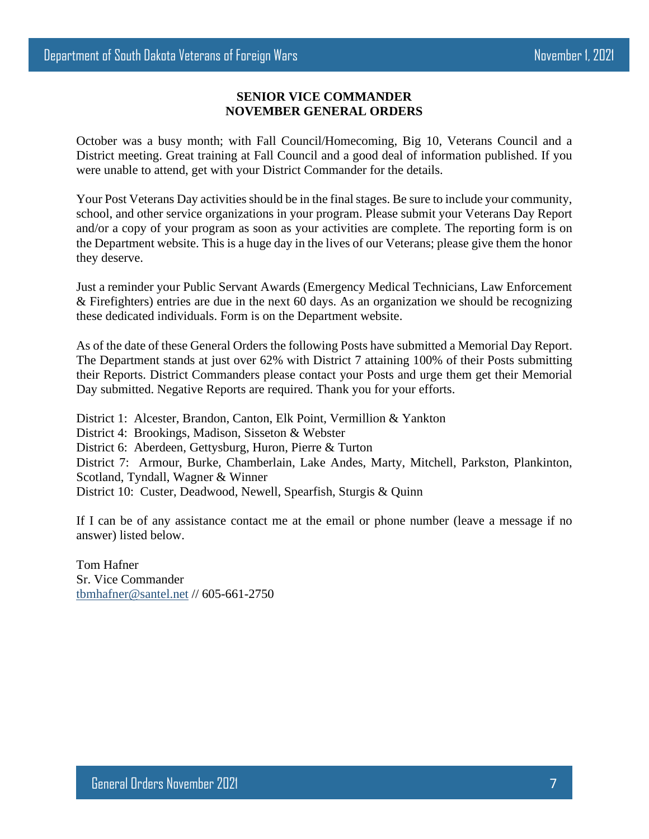#### **SENIOR VICE COMMANDER NOVEMBER GENERAL ORDERS**

October was a busy month; with Fall Council/Homecoming, Big 10, Veterans Council and a District meeting. Great training at Fall Council and a good deal of information published. If you were unable to attend, get with your District Commander for the details.

Your Post Veterans Day activities should be in the final stages. Be sure to include your community, school, and other service organizations in your program. Please submit your Veterans Day Report and/or a copy of your program as soon as your activities are complete. The reporting form is on the Department website. This is a huge day in the lives of our Veterans; please give them the honor they deserve.

Just a reminder your Public Servant Awards (Emergency Medical Technicians, Law Enforcement & Firefighters) entries are due in the next 60 days. As an organization we should be recognizing these dedicated individuals. Form is on the Department website.

As of the date of these General Orders the following Posts have submitted a Memorial Day Report. The Department stands at just over 62% with District 7 attaining 100% of their Posts submitting their Reports. District Commanders please contact your Posts and urge them get their Memorial Day submitted. Negative Reports are required. Thank you for your efforts.

District 1: Alcester, Brandon, Canton, Elk Point, Vermillion & Yankton District 4: Brookings, Madison, Sisseton & Webster District 6: Aberdeen, Gettysburg, Huron, Pierre & Turton District 7: Armour, Burke, Chamberlain, Lake Andes, Marty, Mitchell, Parkston, Plankinton, Scotland, Tyndall, Wagner & Winner District 10: Custer, Deadwood, Newell, Spearfish, Sturgis & Quinn

If I can be of any assistance contact me at the email or phone number (leave a message if no answer) listed below.

Tom Hafner Sr. Vice Commander [tbmhafner@santel.net](mailto:tbmhafner@santel.net) // 605-661-2750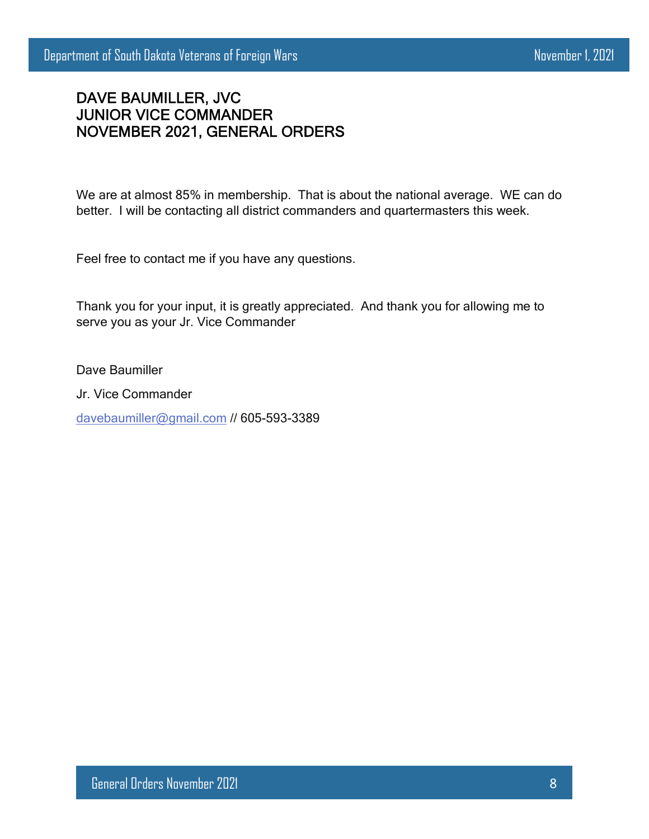# DAVE BAUMILLER, JVC JUNIOR VICE COMMANDER NOVEMBER 2021, GENERAL ORDERS

We are at almost 85% in membership. That is about the national average. WE can do better. I will be contacting all district commanders and quartermasters this week.

Feel free to contact me if you have any questions.

Thank you for your input, it is greatly appreciated. And thank you for allowing me to serve you as your Jr. Vice Commander

Dave Baumiller

Jr. Vice Commander

[davebaumiller@gmail.com](mailto:davebaumiller@gmail.com) // 605-593-3389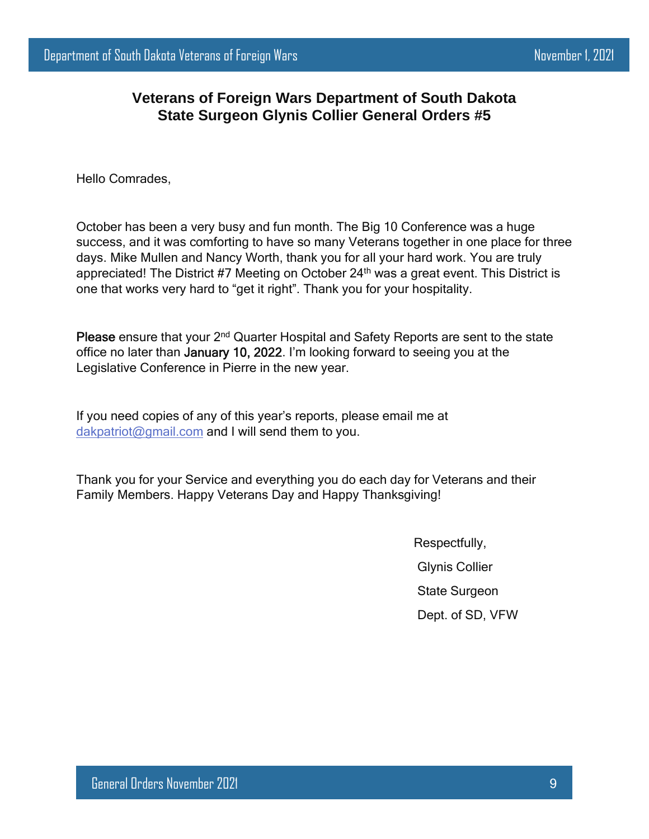# **Veterans of Foreign Wars Department of South Dakota State Surgeon Glynis Collier General Orders #5**

Hello Comrades,

October has been a very busy and fun month. The Big 10 Conference was a huge success, and it was comforting to have so many Veterans together in one place for three days. Mike Mullen and Nancy Worth, thank you for all your hard work. You are truly appreciated! The District #7 Meeting on October 24<sup>th</sup> was a great event. This District is one that works very hard to "get it right". Thank you for your hospitality.

Please ensure that your 2<sup>nd</sup> Quarter Hospital and Safety Reports are sent to the state office no later than January 10, 2022. I'm looking forward to seeing you at the Legislative Conference in Pierre in the new year.

If you need copies of any of this year's reports, please email me at [dakpatriot@gmail.com](mailto:dakpatriot@gmail.com) and I will send them to you.

Thank you for your Service and everything you do each day for Veterans and their Family Members. Happy Veterans Day and Happy Thanksgiving!

> Respectfully, Glynis Collier State Surgeon Dept. of SD, VFW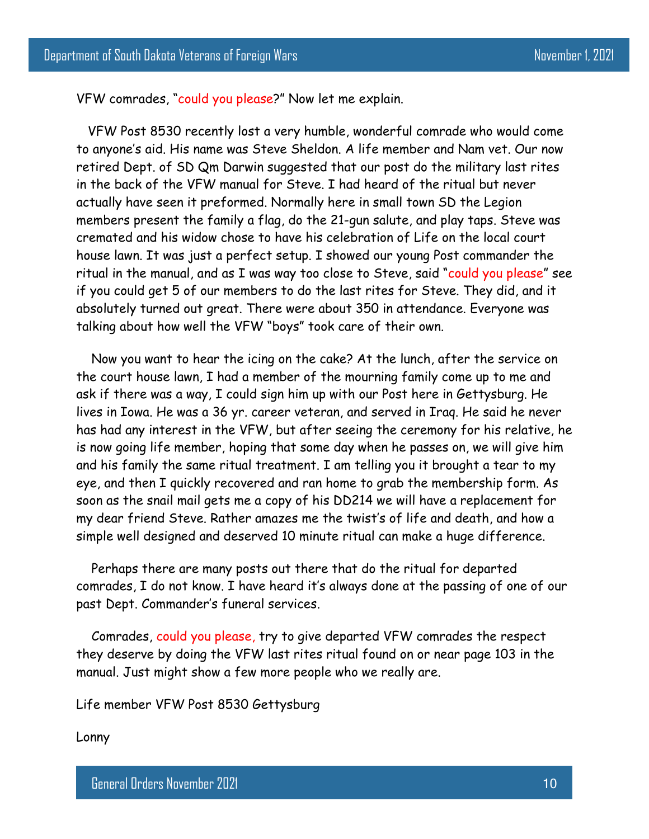VFW comrades, "could you please?" Now let me explain.

 VFW Post 8530 recently lost a very humble, wonderful comrade who would come to anyone's aid. His name was Steve Sheldon. A life member and Nam vet. Our now retired Dept. of SD Qm Darwin suggested that our post do the military last rites in the back of the VFW manual for Steve. I had heard of the ritual but never actually have seen it preformed. Normally here in small town SD the Legion members present the family a flag, do the 21-gun salute, and play taps. Steve was cremated and his widow chose to have his celebration of Life on the local court house lawn. It was just a perfect setup. I showed our young Post commander the ritual in the manual, and as I was way too close to Steve, said "could you please" see if you could get 5 of our members to do the last rites for Steve. They did, and it absolutely turned out great. There were about 350 in attendance. Everyone was talking about how well the VFW "boys" took care of their own.

 Now you want to hear the icing on the cake? At the lunch, after the service on the court house lawn, I had a member of the mourning family come up to me and ask if there was a way, I could sign him up with our Post here in Gettysburg. He lives in Iowa. He was a 36 yr. career veteran, and served in Iraq. He said he never has had any interest in the VFW, but after seeing the ceremony for his relative, he is now going life member, hoping that some day when he passes on, we will give him and his family the same ritual treatment. I am telling you it brought a tear to my eye, and then I quickly recovered and ran home to grab the membership form. As soon as the snail mail gets me a copy of his DD214 we will have a replacement for my dear friend Steve. Rather amazes me the twist's of life and death, and how a simple well designed and deserved 10 minute ritual can make a huge difference.

 Perhaps there are many posts out there that do the ritual for departed comrades, I do not know. I have heard it's always done at the passing of one of our past Dept. Commander's funeral services.

 Comrades, could you please, try to give departed VFW comrades the respect they deserve by doing the VFW last rites ritual found on or near page 103 in the manual. Just might show a few more people who we really are.

Life member VFW Post 8530 Gettysburg

Lonny